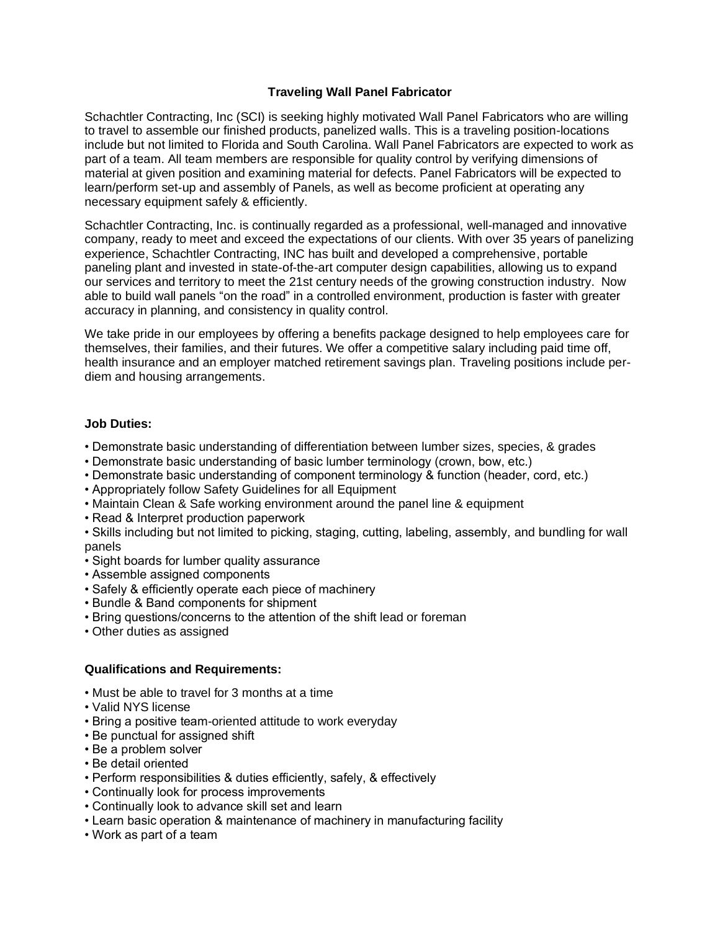## **Traveling Wall Panel Fabricator**

Schachtler Contracting, Inc (SCI) is seeking highly motivated Wall Panel Fabricators who are willing to travel to assemble our finished products, panelized walls. This is a traveling position-locations include but not limited to Florida and South Carolina. Wall Panel Fabricators are expected to work as part of a team. All team members are responsible for quality control by verifying dimensions of material at given position and examining material for defects. Panel Fabricators will be expected to learn/perform set-up and assembly of Panels, as well as become proficient at operating any necessary equipment safely & efficiently.

Schachtler Contracting, Inc. is continually regarded as a professional, well-managed and innovative company, ready to meet and exceed the expectations of our clients. With over 35 years of panelizing experience, Schachtler Contracting, INC has built and developed a comprehensive, portable paneling plant and invested in state-of-the-art computer design capabilities, allowing us to expand our services and territory to meet the 21st century needs of the growing construction industry. Now able to build wall panels "on the road" in a controlled environment, production is faster with greater accuracy in planning, and consistency in quality control.

We take pride in our employees by offering a benefits package designed to help employees care for themselves, their families, and their futures. We offer a competitive salary including paid time off, health insurance and an employer matched retirement savings plan. Traveling positions include perdiem and housing arrangements.

## **Job Duties:**

- Demonstrate basic understanding of differentiation between lumber sizes, species, & grades
- Demonstrate basic understanding of basic lumber terminology (crown, bow, etc.)
- Demonstrate basic understanding of component terminology & function (header, cord, etc.)
- Appropriately follow Safety Guidelines for all Equipment
- Maintain Clean & Safe working environment around the panel line & equipment
- Read & Interpret production paperwork
- Skills including but not limited to picking, staging, cutting, labeling, assembly, and bundling for wall panels
- Sight boards for lumber quality assurance
- Assemble assigned components
- Safely & efficiently operate each piece of machinery
- Bundle & Band components for shipment
- Bring questions/concerns to the attention of the shift lead or foreman
- Other duties as assigned

## **Qualifications and Requirements:**

- Must be able to travel for 3 months at a time
- Valid NYS license
- Bring a positive team-oriented attitude to work everyday
- Be punctual for assigned shift
- Be a problem solver
- Be detail oriented
- Perform responsibilities & duties efficiently, safely, & effectively
- Continually look for process improvements
- Continually look to advance skill set and learn
- Learn basic operation & maintenance of machinery in manufacturing facility
- Work as part of a team